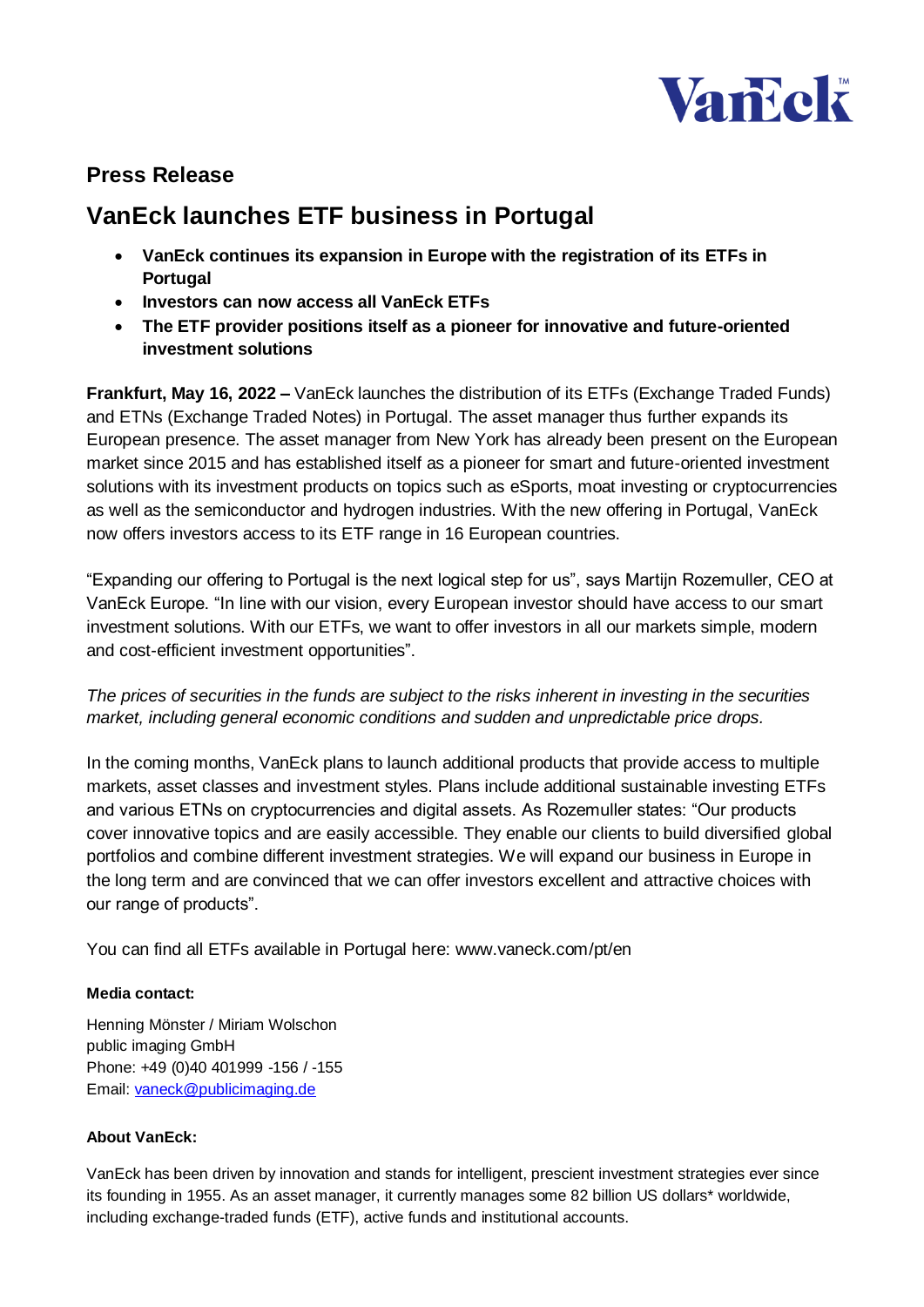

## **Press Release**

# **VanEck launches ETF business in Portugal**

- **VanEck continues its expansion in Europe with the registration of its ETFs in Portugal**
- **Investors can now access all VanEck ETFs**
- **The ETF provider positions itself as a pioneer for innovative and future-oriented investment solutions**

**Frankfurt, May 16, 2022 –** VanEck launches the distribution of its ETFs (Exchange Traded Funds) and ETNs (Exchange Traded Notes) in Portugal. The asset manager thus further expands its European presence. The asset manager from New York has already been present on the European market since 2015 and has established itself as a pioneer for smart and future-oriented investment solutions with its investment products on topics such as eSports, moat investing or cryptocurrencies as well as the semiconductor and hydrogen industries. With the new offering in Portugal, VanEck now offers investors access to its ETF range in 16 European countries.

"Expanding our offering to Portugal is the next logical step for us", says Martijn Rozemuller, CEO at VanEck Europe. "In line with our vision, every European investor should have access to our smart investment solutions. With our ETFs, we want to offer investors in all our markets simple, modern and cost-efficient investment opportunities".

*The prices of securities in the funds are subject to the risks inherent in investing in the securities market, including general economic conditions and sudden and unpredictable price drops.* 

In the coming months, VanEck plans to launch additional products that provide access to multiple markets, asset classes and investment styles. Plans include additional sustainable investing ETFs and various ETNs on cryptocurrencies and digital assets. As Rozemuller states: "Our products cover innovative topics and are easily accessible. They enable our clients to build diversified global portfolios and combine different investment strategies. We will expand our business in Europe in the long term and are convinced that we can offer investors excellent and attractive choices with our range of products".

You can find all ETFs available in Portugal here: www.vaneck.com/pt/en

### **Media contact:**

Henning Mönster / Miriam Wolschon public imaging GmbH Phone: +49 (0)40 401999 -156 / -155 Email: [vaneck@publicimaging.de](mailto:vaneck@publicimaging.de)

#### **About VanEck:**

VanEck has been driven by innovation and stands for intelligent, prescient investment strategies ever since its founding in 1955. As an asset manager, it currently manages some 82 billion US dollars\* worldwide, including exchange-traded funds (ETF), active funds and institutional accounts.